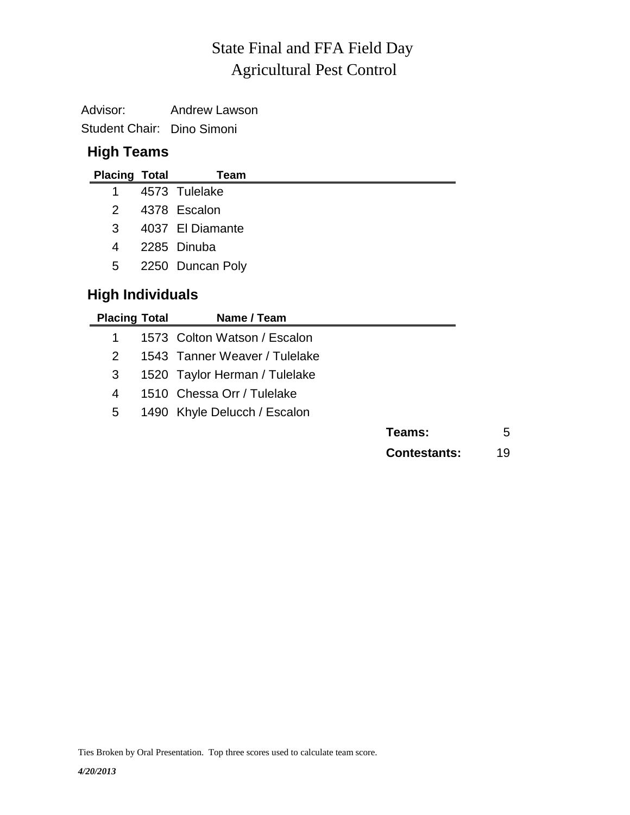## Agricultural Pest Control State Final and FFA Field Day

| Advisor:                   | <b>Andrew Lawson</b> |
|----------------------------|----------------------|
| Student Chair: Dino Simoni |                      |

## **High Teams**

| <b>Placing Total</b>    |  | Team             |
|-------------------------|--|------------------|
| 1                       |  | 4573 Tulelake    |
| 2                       |  | 4378 Escalon     |
| 3                       |  | 4037 El Diamante |
| 4                       |  | 2285 Dinuba      |
| 5                       |  | 2250 Duncan Poly |
| <b>High Individuals</b> |  |                  |

| <b>Placing Total</b> | Name / Team                   |                     |    |
|----------------------|-------------------------------|---------------------|----|
|                      | 1573 Colton Watson / Escalon  |                     |    |
| 2                    | 1543 Tanner Weaver / Tulelake |                     |    |
| 3                    | 1520 Taylor Herman / Tulelake |                     |    |
| 4                    | 1510 Chessa Orr / Tulelake    |                     |    |
| 5                    | 1490 Khyle Delucch / Escalon  |                     |    |
|                      |                               | Teams:              | 5  |
|                      |                               | <b>Contestants:</b> | 19 |
|                      |                               |                     |    |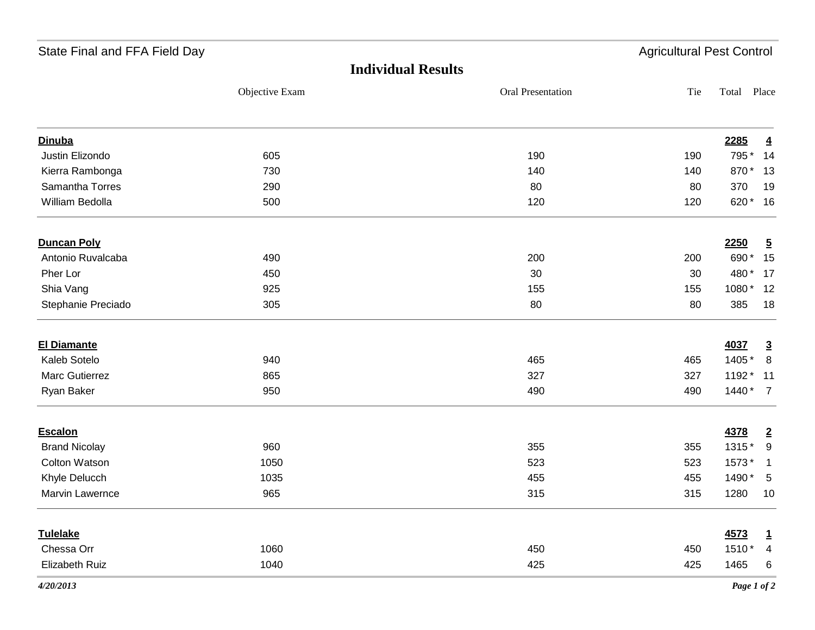| State Final and FFA Field Day |                |                           | <b>Agricultural Pest Control</b> |             |                 |
|-------------------------------|----------------|---------------------------|----------------------------------|-------------|-----------------|
|                               |                | <b>Individual Results</b> |                                  |             |                 |
|                               | Objective Exam | Oral Presentation         | Tie                              | Total       | Place           |
| <b>Dinuba</b>                 |                |                           |                                  | 2285        | $\overline{4}$  |
| Justin Elizondo               | 605            | 190                       | 190                              | 795 *       | 14              |
| Kierra Rambonga               | 730            | 140                       | 140                              | 870* 13     |                 |
| Samantha Torres               | 290            | 80                        | 80                               | 370         | 19              |
| William Bedolla               | 500            | 120                       | 120                              | 620* 16     |                 |
| <b>Duncan Poly</b>            |                |                           |                                  | 2250        | $\overline{5}$  |
| Antonio Ruvalcaba             | 490            | 200                       | 200                              | 690*        | 15              |
| Pher Lor                      | 450            | 30                        | 30                               | 480 *       | 17              |
| Shia Vang                     | 925            | 155                       | 155                              | 1080*       | 12              |
| Stephanie Preciado            | 305            | 80                        | 80                               | 385         | 18              |
| <b>El Diamante</b>            |                |                           |                                  | 4037        | $\overline{3}$  |
| Kaleb Sotelo                  | 940            | 465                       | 465                              | 1405 *      | 8               |
| Marc Gutierrez                | 865            | 327                       | 327                              | 1192 *      | $-11$           |
| Ryan Baker                    | 950            | 490                       | 490                              | $1440*7$    |                 |
| <b>Escalon</b>                |                |                           |                                  | 4378        | $\overline{2}$  |
| <b>Brand Nicolay</b>          | 960            | 355                       | 355                              | 1315*       | 9               |
| <b>Colton Watson</b>          | 1050           | 523                       | 523                              | 1573*       | $\mathbf{1}$    |
| Khyle Delucch                 | 1035           | 455                       | 455                              | 1490 *      | $5\phantom{.0}$ |
| Marvin Lawernce               | 965            | 315                       | 315                              | 1280        | 10              |
| <b>Tulelake</b>               |                |                           |                                  | 4573        | $\mathbf{1}$    |
| Chessa Orr                    | 1060           | 450                       | 450                              | 1510*       | $\overline{4}$  |
| Elizabeth Ruiz                | 1040           | 425                       | 425                              | 1465        | 6               |
| 4/20/2013                     |                |                           |                                  | Page 1 of 2 |                 |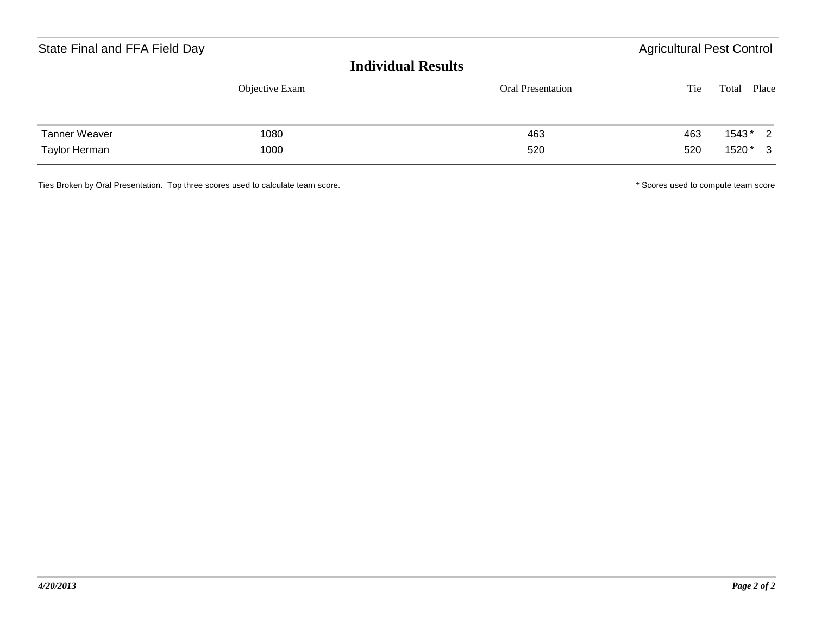| State Final and FFA Field Day<br><b>Individual Results</b> |                |                          | <b>Agricultural Pest Control</b> |                                         |  |  |
|------------------------------------------------------------|----------------|--------------------------|----------------------------------|-----------------------------------------|--|--|
|                                                            | Objective Exam | <b>Oral Presentation</b> | Tie                              | Place<br>Total                          |  |  |
| <b>Tanner Weaver</b><br>Taylor Herman                      | 1080<br>1000   | 463<br>520               | 463<br>520                       | 1543*<br>$\overline{2}$<br>1520 *<br>-3 |  |  |

Ties Broken by Oral Presentation. Top three scores used to calculate team score. **All any oral of the scores used to compute team score** and the scores used to compute team score